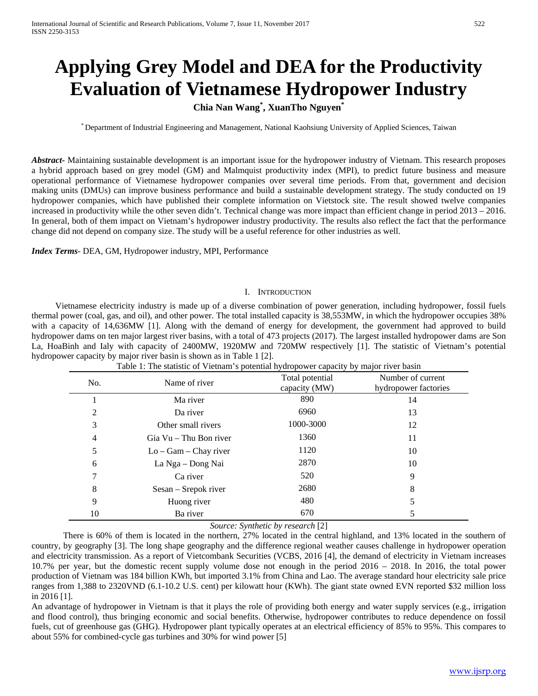# **Applying Grey Model and DEA for the Productivity Evaluation of Vietnamese Hydropower Industry**

## **Chia Nan Wang\* , XuanTho Nguyen\***

\* Department of Industrial Engineering and Management, National Kaohsiung University of Applied Sciences, Taiwan

*Abstract***-** Maintaining sustainable development is an important issue for the hydropower industry of Vietnam. This research proposes a hybrid approach based on grey model (GM) and Malmquist productivity index (MPI), to predict future business and measure operational performance of Vietnamese hydropower companies over several time periods. From that, government and decision making units (DMUs) can improve business performance and build a sustainable development strategy. The study conducted on 19 hydropower companies, which have published their complete information on Vietstock site. The result showed twelve companies increased in productivity while the other seven didn't. Technical change was more impact than efficient change in period 2013 – 2016. In general, both of them impact on Vietnam's hydropower industry productivity. The results also reflect the fact that the performance change did not depend on company size. The study will be a useful reference for other industries as well.

*Index Terms*- DEA, GM, Hydropower industry, MPI, Performance

## I. INTRODUCTION

Vietnamese electricity industry is made up of a diverse combination of power generation, including hydropower, fossil fuels thermal power (coal, gas, and oil), and other power. The total installed capacity is 38,553MW, in which the hydropower occupies 38% with a capacity of 14,636MW [1]. Along with the demand of energy for development, the government had approved to build hydropower dams on ten major largest river basins, with a total of 473 projects (2017). The largest installed hydropower dams are Son La, HoaBinh and Ialy with capacity of 2400MW, 1920MW and 720MW respectively [1]. The statistic of Vietnam's potential hydropower capacity by major river basin is shown as in Table 1 [2].

| No. | Name of river           | Total potential<br>capacity (MW) | Number of current<br>hydropower factories |
|-----|-------------------------|----------------------------------|-------------------------------------------|
|     | Ma river                | 890                              | 14                                        |
| 2   | Da river                | 6960                             | 13                                        |
| 3   | Other small rivers      | 1000-3000                        | 12                                        |
| 4   | Gia Vu – Thu Bon river  | 1360                             | 11                                        |
| 5   | $Lo - Gam - Chay river$ | 1120                             | 10                                        |
| 6   | La Nga - Dong Nai       | 2870                             | 10                                        |
| 7   | Ca river                | 520                              | 9                                         |
| 8   | Sesan – Srepok river    | 2680                             | 8                                         |
| 9   | Huong river             | 480                              |                                           |
| 10  | Ba river                | 670                              |                                           |

Table 1: The statistic of Vietnam's potential hydropower capacity by major river basin

*Source: Synthetic by research* [2]

There is 60% of them is located in the northern, 27% located in the central highland, and 13% located in the southern of country, by geography [3]. The long shape geography and the difference regional weather causes challenge in hydropower operation and electricity transmission. As a report of Vietcombank Securities (VCBS, 2016 [4], the demand of electricity in Vietnam increases 10.7% per year, but the domestic recent supply volume dose not enough in the period 2016 – 2018. In 2016, the total power production of Vietnam was 184 billion KWh, but imported 3.1% from China and Lao. The average standard hour electricity sale price ranges from 1,388 to 2320VND (6.1-10.2 U.S. cent) per kilowatt hour (KWh). The giant state owned EVN reported \$32 million loss in 2016 [1].

An advantage of hydropower in Vietnam is that it plays the role of providing both energy and water supply services (e.g., irrigation and flood control), thus bringing economic and social benefits. Otherwise, hydropower contributes to reduce dependence on fossil fuels, cut of greenhouse gas (GHG). Hydropower plant typically operates at an electrical efficiency of 85% to 95%. This compares to about 55% for combined-cycle gas turbines and 30% for wind power [5]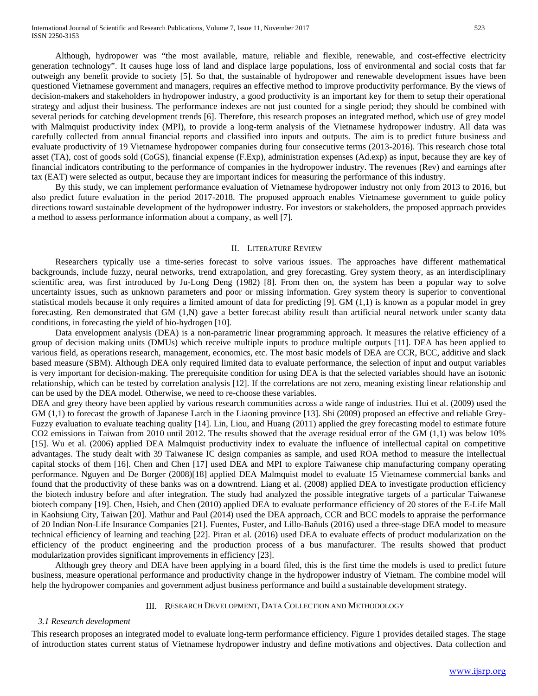International Journal of Scientific and Research Publications, Volume 7, Issue 11, November 2017 523 ISSN 2250-3153

Although, hydropower was "the most available, mature, reliable and flexible, renewable, and cost-effective electricity generation technology". It causes huge loss of land and displace large populations, loss of environmental and social costs that far outweigh any benefit provide to society [5]. So that, the sustainable of hydropower and renewable development issues have been questioned Vietnamese government and managers, requires an effective method to improve productivity performance. By the views of decision-makers and stakeholders in hydropower industry, a good productivity is an important key for them to setup their operational strategy and adjust their business. The performance indexes are not just counted for a single period; they should be combined with several periods for catching development trends [6]. Therefore, this research proposes an integrated method, which use of grey model with Malmquist productivity index (MPI), to provide a long-term analysis of the Vietnamese hydropower industry. All data was carefully collected from annual financial reports and classified into inputs and outputs. The aim is to predict future business and evaluate productivity of 19 Vietnamese hydropower companies during four consecutive terms (2013-2016). This research chose total asset (TA), cost of goods sold (CoGS), financial expense (F.Exp), administration expenses (Ad.exp) as input, because they are key of financial indicators contributing to the performance of companies in the hydropower industry. The revenues (Rev) and earnings after tax (EAT) were selected as output, because they are important indices for measuring the performance of this industry.

By this study, we can implement performance evaluation of Vietnamese hydropower industry not only from 2013 to 2016, but also predict future evaluation in the period 2017-2018. The proposed approach enables Vietnamese government to guide policy directions toward sustainable development of the hydropower industry. For investors or stakeholders, the proposed approach provides a method to assess performance information about a company, as well [7].

#### II. LITERATURE REVIEW

Researchers typically use a time-series forecast to solve various issues. The approaches have different mathematical backgrounds, include fuzzy, neural networks, trend extrapolation, and grey forecasting. Grey system theory, as an interdisciplinary scientific area, was first introduced by Ju-Long Deng (1982) [8]. From then on, the system has been a popular way to solve uncertainty issues, such as unknown parameters and poor or missing information. Grey system theory is superior to conventional statistical models because it only requires a limited amount of data for predicting [9]. GM (1,1) is known as a popular model in grey forecasting. Ren demonstrated that GM (1,N) gave a better forecast ability result than artificial neural network under scanty data conditions, in forecasting the yield of bio-hydrogen [10].

Data envelopment analysis (DEA) is a non-parametric linear programming approach. It measures the relative efficiency of a group of decision making units (DMUs) which receive multiple inputs to produce multiple outputs [11]. DEA has been applied to various field, as operations research, management, economics, etc. The most basic models of DEA are CCR, BCC, additive and slack based measure (SBM). Although DEA only required limited data to evaluate performance, the selection of input and output variables is very important for decision-making. The prerequisite condition for using DEA is that the selected variables should have an isotonic relationship, which can be tested by correlation analysis [12]. If the correlations are not zero, meaning existing linear relationship and can be used by the DEA model. Otherwise, we need to re-choose these variables.

DEA and grey theory have been applied by various research communities across a wide range of industries. Hui et al. (2009) used the GM (1,1) to forecast the growth of Japanese Larch in the Liaoning province [13]. Shi (2009) proposed an effective and reliable Grey-Fuzzy evaluation to evaluate teaching quality [14]. Lin, Liou, and Huang (2011) applied the grey forecasting model to estimate future CO2 emissions in Taiwan from 2010 until 2012. The results showed that the average residual error of the GM (1,1) was below 10% [15]. Wu et al. (2006) applied DEA Malmquist productivity index to evaluate the influence of intellectual capital on competitive advantages. The study dealt with 39 Taiwanese IC design companies as sample, and used ROA method to measure the intellectual capital stocks of them [16]. Chen and Chen [17] used DEA and MPI to explore Taiwanese chip manufacturing company operating performance. Nguyen and De Borger (2008)[18] applied DEA Malmquist model to evaluate 15 Vietnamese commercial banks and found that the productivity of these banks was on a downtrend. Liang et al. (2008) applied DEA to investigate production efficiency the biotech industry before and after integration. The study had analyzed the possible integrative targets of a particular Taiwanese biotech company [19]. Chen, Hsieh, and Chen (2010) applied DEA to evaluate performance efficiency of 20 stores of the E-Life Mall in Kaohsiung City, Taiwan [20]. Mathur and Paul (2014) used the DEA approach, CCR and BCC models to appraise the performance of 20 Indian Non-Life Insurance Companies [21]. Fuentes, Fuster, and Lillo-Bañuls (2016) used a three-stage DEA model to measure technical efficiency of learning and teaching [22]. Piran et al. (2016) used DEA to evaluate effects of product modularization on the efficiency of the product engineering and the production process of a bus manufacturer. The results showed that product modularization provides significant improvements in efficiency [23].

Although grey theory and DEA have been applying in a board filed, this is the first time the models is used to predict future business, measure operational performance and productivity change in the hydropower industry of Vietnam. The combine model will help the hydropower companies and government adjust business performance and build a sustainable development strategy.

## III. RESEARCH DEVELOPMENT, DATA COLLECTION AND METHODOLOGY

#### *3.1 Research development*

This research proposes an integrated model to evaluate long-term performance efficiency. Figure 1 provides detailed stages. The stage of introduction states current status of Vietnamese hydropower industry and define motivations and objectives. Data collection and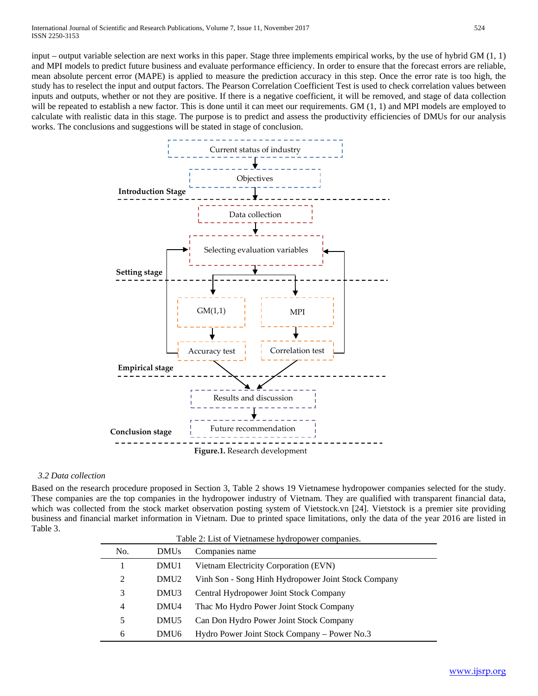input – output variable selection are next works in this paper. Stage three implements empirical works, by the use of hybrid GM (1, 1) and MPI models to predict future business and evaluate performance efficiency. In order to ensure that the forecast errors are reliable, mean absolute percent error (MAPE) is applied to measure the prediction accuracy in this step. Once the error rate is too high, the study has to reselect the input and output factors. The Pearson Correlation Coefficient Test is used to check correlation values between inputs and outputs, whether or not they are positive. If there is a negative coefficient, it will be removed, and stage of data collection will be repeated to establish a new factor. This is done until it can meet our requirements. GM  $(1, 1)$  and MPI models are employed to calculate with realistic data in this stage. The purpose is to predict and assess the productivity efficiencies of DMUs for our analysis works. The conclusions and suggestions will be stated in stage of conclusion.



## *3.2 Data collection*

Based on the research procedure proposed in Section 3, Table 2 shows 19 Vietnamese hydropower companies selected for the study. These companies are the top companies in the hydropower industry of Vietnam. They are qualified with transparent financial data, which was collected from the stock market observation posting system of Vietstock.vn [24]. Vietstock is a premier site providing business and financial market information in Vietnam. Due to printed space limitations, only the data of the year 2016 are listed in Table 3.

| No.            | <b>DMUs</b>      | Table 2: List of Vietnamese hydropower companies.<br>Companies name |
|----------------|------------------|---------------------------------------------------------------------|
|                | DMU1             | Vietnam Electricity Corporation (EVN)                               |
| 2              | DMU <sub>2</sub> | Vinh Son - Song Hinh Hydropower Joint Stock Company                 |
| 3              | DMU3             | Central Hydropower Joint Stock Company                              |
| $\overline{4}$ | DMU4             | Thac Mo Hydro Power Joint Stock Company                             |
| 5              | DMU <sub>5</sub> | Can Don Hydro Power Joint Stock Company                             |
| 6              | DMU <sub>6</sub> | Hydro Power Joint Stock Company – Power No.3                        |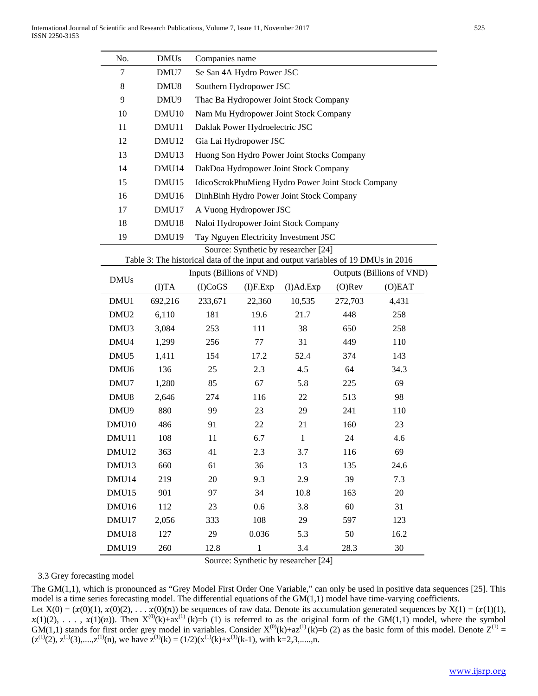| No.               | <b>DMUs</b>       | Companies name               |                                |                                                                                   |           |                           |  |
|-------------------|-------------------|------------------------------|--------------------------------|-----------------------------------------------------------------------------------|-----------|---------------------------|--|
| 7                 | DMU7              |                              | Se San 4A Hydro Power JSC      |                                                                                   |           |                           |  |
| 8                 | DMU <sub>8</sub>  |                              | Southern Hydropower JSC        |                                                                                   |           |                           |  |
| 9                 | DMU9              |                              |                                | Thac Ba Hydropower Joint Stock Company                                            |           |                           |  |
| 10                | DMU <sub>10</sub> |                              |                                | Nam Mu Hydropower Joint Stock Company                                             |           |                           |  |
| 11                | DMU11             |                              | Daklak Power Hydroelectric JSC |                                                                                   |           |                           |  |
| 12                | DMU <sub>12</sub> |                              | Gia Lai Hydropower JSC         |                                                                                   |           |                           |  |
| 13                | DMU <sub>13</sub> |                              |                                | Huong Son Hydro Power Joint Stocks Company                                        |           |                           |  |
| 14                | DMU <sub>14</sub> |                              |                                | DakDoa Hydropower Joint Stock Company                                             |           |                           |  |
| 15                | DMU15             |                              |                                | IdicoScrokPhuMieng Hydro Power Joint Stock Company                                |           |                           |  |
| 16                | DMU <sub>16</sub> |                              |                                | DinhBinh Hydro Power Joint Stock Company                                          |           |                           |  |
| 17                | DMU17             |                              | A Vuong Hydropower JSC         |                                                                                   |           |                           |  |
| 18                | DMU18             |                              |                                | Naloi Hydropower Joint Stock Company                                              |           |                           |  |
| 19                | DMU <sub>19</sub> |                              |                                | Tay Nguyen Electricity Investment JSC                                             |           |                           |  |
|                   |                   |                              |                                | Source: Synthetic by researcher [24]                                              |           |                           |  |
|                   |                   |                              |                                | Table 3: The historical data of the input and output variables of 19 DMUs in 2016 |           |                           |  |
| <b>DMUs</b>       |                   | Inputs (Billions of VND)     |                                |                                                                                   |           | Outputs (Billions of VND) |  |
|                   | ( I)TA            | (I)CoGS                      | $(I)$ F.Exp                    | (I)Ad.Exp                                                                         | $(O)$ Rev | (O)EAT                    |  |
| DMU1              | 692,216           | 233,671                      | 22,360                         | 10,535                                                                            | 272,703   | 4,431                     |  |
| DMU <sub>2</sub>  | 6,110             | 181                          | 19.6                           | 21.7                                                                              | 448       | 258                       |  |
| DMU3              | 3,084             | 253                          | 111                            | 38                                                                                | 650       | 258                       |  |
| DMU4              | 1,299             | 256                          | 77                             | 31                                                                                | 449       | 110                       |  |
| DMU <sub>5</sub>  | 1,411             | 154                          | 17.2                           | 52.4                                                                              | 374       | 143                       |  |
| DMU <sub>6</sub>  | 136               | 25                           | 2.3                            | 4.5                                                                               | 64        | 34.3                      |  |
| DMU7              | 1,280             | 85                           | 67                             | 5.8                                                                               | 225       | 69                        |  |
| DMU <sub>8</sub>  | 2,646             | 274                          | 116                            | 22                                                                                | 513       | 98                        |  |
| DMU9              | 880               | 99                           | 23                             | 29                                                                                | 241       | 110                       |  |
| DMU <sub>10</sub> | 486               | 91                           | 22                             | 21                                                                                | 160       | 23                        |  |
| DMU11             | 108               | 11                           | 6.7                            | $\mathbf{1}$                                                                      | 24        | 4.6                       |  |
| DMU12             | 363               | 41                           | 2.3                            | 3.7                                                                               | 116       | 69                        |  |
| DMU13             | 660               | 61                           | 36                             | 13                                                                                | 135       | 24.6                      |  |
| DMU14             | 219               | 20                           | 9.3                            | 2.9                                                                               | 39        | 7.3                       |  |
| DMU15             | 901               | 97                           | 34                             | 10.8                                                                              | 163       | $20\,$                    |  |
| DMU16             | 112               | 23<br>0.6<br>3.8<br>60<br>31 |                                |                                                                                   |           |                           |  |
| DMU17             | 2,056             | 333                          | 108                            | 29                                                                                | 597       | 123                       |  |
| DMU18             | 127               | 29                           | 0.036                          | 5.3                                                                               | 50        | 16.2                      |  |
| DMU19             | 260               | 12.8                         | $\mathbf 1$                    | 3.4                                                                               | 28.3      | 30                        |  |

Source: Synthetic by researcher [24]

## 3.3 Grey forecasting model

The GM(1,1), which is pronounced as "Grey Model First Order One Variable," can only be used in positive data sequences [25]. This model is a time series forecasting model. The differential equations of the GM(1,1) model have time-varying coefficients.

Let  $X(0) = (x(0)(1), x(0)(2), \ldots, x(0)(n))$  be sequences of raw data. Denote its accumulation generated sequences by  $X(1) = (x(1)(1), x(0)(2))$  $x(1)(2)$ , ...,  $x(1)(n)$ ). Then  $X^{(0)}(k)+ax^{(1)}(k)=b(1)$  is referred to as the original form of the GM(1,1) model, where the symbol GM(1,1) stands for first order grey model in variables. Consider  $X^{(0)}(k)+az^{(1)}(k)=b$  (2) as the basic form of this model. Denote  $Z^{(1)}$  =  $(z^{(1)}(2), z^{(1)}(3),...,z^{(1)}(n))$ , we have  $z^{(1)}(k) = (1/2)(x^{(1)}(k)+x^{(1)}(k-1))$ , with k=2,3,.....,n.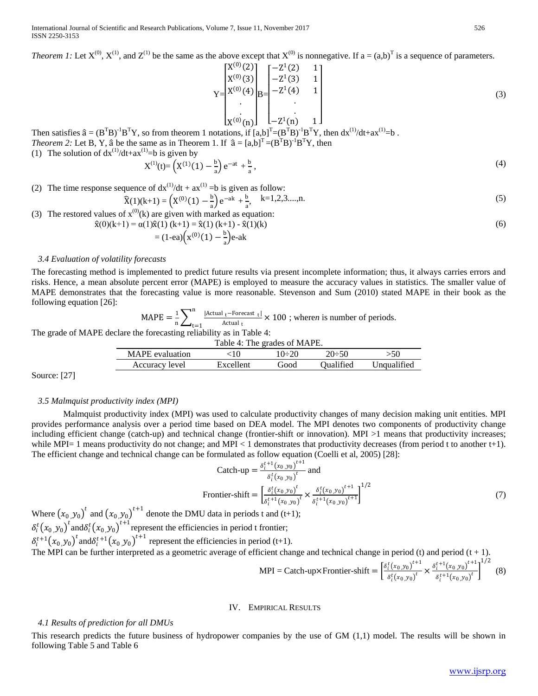*Theorem 1:* Let  $X^{(0)}$ ,  $X^{(1)}$ , and  $Z^{(1)}$  be the same as the above except that  $X^{(0)}$  is nonnegative. If  $a = (a,b)^T$  is a sequence of parameters.

$$
Y = \begin{bmatrix} X^{(0)}(2) \\ X^{(0)}(3) \\ X^{(0)}(4) \\ \vdots \\ X^{(0)}(n) \end{bmatrix} B = \begin{bmatrix} -Z^1(2) & 1 \\ -Z^1(3) & 1 \\ -Z^1(4) & 1 \\ \vdots \\ -Z^1(n) & 1 \end{bmatrix}
$$
(3)

 $[X^{(0)}(n)]$   $L-Z^1(n)$  1 J<br>Then satisfies  $\hat{a} = (B^TB)^{-1}B^TY$ , so from theorem 1 notations, if  $[a,b]^T = (B^TB)^{-1}B^TY$ , then  $dx^{(1)}/dt + ax^{(1)} = b$ . *Theorem 2:* Let B, Y,  $\hat{a}$  be the same as in Theorem 1. If  $\hat{a} = [a,b]^T = (B^T B)^{-1}B^T Y$ , then

(1) The solution of  $dx^{(1)}/dt+ax^{(1)}=b$  is given by

$$
X^{(1)}(t) = \left(X^{(1)}(1) - \frac{b}{a}\right)e^{-at} + \frac{b}{a},\tag{4}
$$

(2) The time response sequence of  $dx^{(1)}/dt + ax^{(1)} = b$  is given as follow:

$$
\widehat{X}(1)(k+1) = \left(X^{(0)}(1) - \frac{b}{a}\right)e^{-ak} + \frac{b}{a}, \quad k=1,2,3,...,n.
$$
\n(5)

(3) The restored values of 
$$
x^{(0)}(k)
$$
 are given with marked as equation:\n
$$
\hat{x}(0)(k+1) = \alpha(1)\hat{x}(1)(k+1) = \hat{x}(1)(k+1) - \hat{x}(1)(k)
$$
\n(6)

$$
= (1 - ea)\left(x^{(0)}(1) - \frac{b}{a}\right)e - ak
$$

## *3.4 Evaluation of volatility forecasts*

The forecasting method is implemented to predict future results via present incomplete information; thus, it always carries errors and risks. Hence, a mean absolute percent error (MAPE) is employed to measure the accuracy values in statistics. The smaller value of MAPE demonstrates that the forecasting value is more reasonable. Stevenson and Sum (2010) stated MAPE in their book as the following equation [26]:

> $\text{MAPE} = \frac{1}{n} \sum_{t=1}^{\infty} \frac{|\text{Actual } t - \text{Forecast } t|}{\text{Actual } t} \times 100$ n  $t=1$ ; where*n* is number of periods.

The grade of MAPE declare the forecasting reliability as in Table 4:

| Table 4: The grades of MAPE.                              |           |      |                  |             |  |  |  |
|-----------------------------------------------------------|-----------|------|------------------|-------------|--|--|--|
| MAPE evaluation<br>$20-50$<br>$10 \div 20$<br>>50<br>10 S |           |      |                  |             |  |  |  |
| Accuracy level                                            | Excellent | Good | <b>Oualified</b> | Unqualified |  |  |  |

Source: [27]

#### *3.5 Malmquist productivity index (MPI)*

Malmquist productivity index (MPI) was used to calculate productivity changes of many decision making unit entities. MPI provides performance analysis over a period time based on DEA model. The MPI denotes two components of productivity change including efficient change (catch-up) and technical change (frontier-shift or innovation). MPI >1 means that productivity increases; while MPI= 1 means productivity do not change; and MPI < 1 demonstrates that productivity decreases (from period t to another t+1). The efficient change and technical change can be formulated as follow equation (Coelli et al, 2005) [28]:

\n
$$
\text{Catch-up} = \frac{\delta_i^{t+1}(x_0, y_0)^{t+1}}{\delta_i^t(x_0, y_0)^t} \text{ and}
$$
\n

\n\n
$$
\text{Frontier-shift} = \left[ \frac{\delta_i^t(x_0, y_0)^t}{\delta_i^{t+1}(x_0, y_0)^t} \times \frac{\delta_i^t(x_0, y_0)^{t+1}}{\delta_i^{t+1}(x_0, y_0)^{t+1}} \right]^{1/2}
$$
\n

\n\n (7)\n

Where  $(x_0, y_0)^t$  and  $(x_0, y_0)^{t+1}$  denote the DMU data in periods t and (t+1);  $\delta_i^t(x_0, y_0)^t$  and  $\delta_i^t(x_0, y_0)^{t+1}$  represent the efficiencies in period t frontier;  $\delta_i^{t+1}(x_0, y_0)^t$  and  $\delta_i^{t+1}(x_0, y_0)^{t+1}$  represent the efficiencies in period (t+1).

The MPI can be further interpreted as a geometric average of efficient change and technical change in period (t) and period  $(t + 1)$ .

$$
MPI = Catch-up \times Frontier-shift = \left[ \frac{\delta_i^t(x_0, y_0)^{t+1}}{\delta_i^t(x_0, y_0)^t} \times \frac{\delta_i^{t+1}(x_0, y_0)^{t+1}}{\delta_i^{t+1}(x_0, y_0)^t} \right]^{1/2}
$$
(8)

## IV. EMPIRICAL RESULTS

#### *4.1 Results of prediction for all DMUs*

This research predicts the future business of hydropower companies by the use of GM (1,1) model. The results will be shown in following Table 5 and Table 6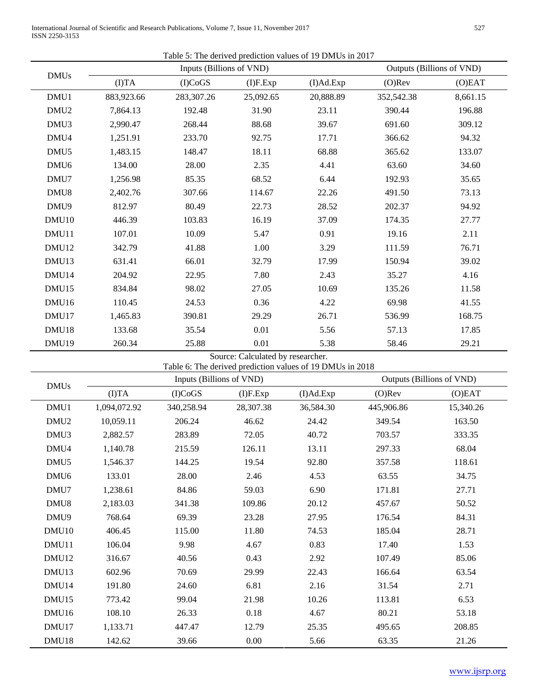International Journal of Scientific and Research Publications, Volume 7, Issue 11, November 2017 527 ISSN 2250-3153

Table 5: The derived prediction values of 19 DMUs in 2017

|                   | Inputs (Billions of VND) |                          |                                   |                                                           | Outputs (Billions of VND) |           |  |  |
|-------------------|--------------------------|--------------------------|-----------------------------------|-----------------------------------------------------------|---------------------------|-----------|--|--|
| <b>DMUs</b>       | (T)TA                    | (I)CoGS                  | $(I)$ F.Exp                       | (I)Ad.Exp                                                 | $(O)$ Rev                 | (O)EAT    |  |  |
| DMU1              | 883,923.66               | 283,307.26               | 25,092.65                         | 20,888.89                                                 | 352,542.38                | 8,661.15  |  |  |
| DMU <sub>2</sub>  | 7,864.13                 | 192.48                   | 31.90                             | 23.11                                                     | 390.44                    | 196.88    |  |  |
| DMU3              | 2,990.47                 | 268.44                   | 88.68                             | 39.67                                                     | 691.60                    | 309.12    |  |  |
| DMU4              | 1,251.91                 | 233.70                   | 92.75                             | 17.71                                                     | 366.62                    | 94.32     |  |  |
| DMU <sub>5</sub>  | 1,483.15                 | 148.47                   | 18.11                             | 68.88                                                     | 365.62                    | 133.07    |  |  |
| DMU <sub>6</sub>  | 134.00                   | 28.00                    | 2.35                              | 4.41                                                      | 63.60                     | 34.60     |  |  |
| DMU7              | 1,256.98                 | 85.35                    | 68.52                             | 6.44                                                      | 192.93                    | 35.65     |  |  |
| DMU8              | 2,402.76                 | 307.66                   | 114.67                            | 22.26                                                     | 491.50                    | 73.13     |  |  |
| DMU9              | 812.97                   | 80.49                    | 22.73                             | 28.52                                                     | 202.37                    | 94.92     |  |  |
| DMU <sub>10</sub> | 446.39                   | 103.83                   | 16.19                             | 37.09                                                     | 174.35                    | 27.77     |  |  |
| DMU11             | 107.01                   | 10.09                    | 5.47                              | 0.91                                                      | 19.16                     | 2.11      |  |  |
| DMU12             | 342.79                   | 41.88                    | 1.00                              | 3.29                                                      | 111.59                    | 76.71     |  |  |
| DMU13             | 631.41                   | 66.01                    | 32.79                             | 17.99                                                     | 150.94                    | 39.02     |  |  |
| DMU14             | 204.92                   | 22.95                    | 7.80                              | 2.43                                                      | 35.27                     | 4.16      |  |  |
| DMU15             | 834.84                   | 98.02                    | 27.05                             | 10.69                                                     | 135.26                    | 11.58     |  |  |
| DMU16             | 110.45                   | 24.53                    | 0.36                              | 4.22                                                      | 69.98                     | 41.55     |  |  |
| DMU17             | 1,465.83                 | 390.81                   | 29.29                             | 26.71                                                     | 536.99                    | 168.75    |  |  |
| DMU18             | 133.68                   | 35.54                    | 0.01                              | 5.56                                                      | 57.13                     | 17.85     |  |  |
| DMU19             | 260.34                   | 25.88                    | 0.01                              | 5.38                                                      | 58.46                     | 29.21     |  |  |
|                   |                          |                          | Source: Calculated by researcher. |                                                           |                           |           |  |  |
|                   |                          | Inputs (Billions of VND) |                                   | Table 6: The derived prediction values of 19 DMUs in 2018 | Outputs (Billions of VND) |           |  |  |
| <b>DMUs</b>       | ( I)TA                   | (I)CoGS                  | $(I)$ F.Exp                       | (I)Ad.Exp                                                 | $(O)$ Rev                 | (O)EAT    |  |  |
| DMU1              | 1,094,072.92             | 340,258.94               | 28,307.38                         | 36,584.30                                                 | 445,906.86                | 15,340.26 |  |  |
| DMU <sub>2</sub>  | 10,059.11                | 206.24                   | 46.62                             | 24.42                                                     | 349.54                    | 163.50    |  |  |
| DMU3              | 2,882.57                 | 283.89                   | 72.05                             | 40.72                                                     | 703.57                    | 333.35    |  |  |
| DMU4              | 1,140.78                 | 215.59                   | 126.11                            | 13.11                                                     | 297.33                    | 68.04     |  |  |
| DMU <sub>5</sub>  | 1,546.37                 | 144.25                   | 19.54                             | 92.80                                                     | 357.58                    | 118.61    |  |  |
| DMU <sub>6</sub>  | 133.01                   | 28.00                    | 2.46                              | 4.53                                                      | 63.55                     | 34.75     |  |  |
| DMU7              | 1,238.61                 | 84.86                    | 59.03                             | 6.90                                                      | 171.81                    | 27.71     |  |  |
| DMU8              | 2,183.03                 | 341.38                   | 109.86                            | 20.12                                                     | 457.67                    | 50.52     |  |  |
| DMU9              | 768.64                   | 69.39                    | 23.28                             | 27.95                                                     | 176.54                    | 84.31     |  |  |
| DMU <sub>10</sub> | 406.45                   | 115.00                   | 11.80                             | 74.53                                                     | 185.04                    | 28.71     |  |  |
| DMU11             | 106.04                   | 9.98                     | 4.67                              | 0.83                                                      | 17.40                     | 1.53      |  |  |
| DMU12             | 316.67                   | 40.56                    | 0.43                              |                                                           | 107.49                    | 85.06     |  |  |
| DMU13             | 602.96                   | 70.69                    | 29.99                             | 2.92                                                      | 166.64                    | 63.54     |  |  |
| DMU14             | 191.80                   | 24.60                    | 6.81                              | 22.43                                                     |                           | 2.71      |  |  |
| DMU <sub>15</sub> | 773.42                   | 99.04                    | 21.98                             | 2.16<br>10.26                                             | 31.54<br>113.81           | 6.53      |  |  |
|                   |                          |                          |                                   |                                                           |                           |           |  |  |
| DMU16             | 108.10                   | 26.33                    | 0.18                              | 4.67                                                      | 80.21                     | 53.18     |  |  |
| DMU17             | 1,133.71                 | 447.47                   | 12.79                             | 25.35                                                     | 495.65                    | 208.85    |  |  |
| DMU18             | 142.62                   | 39.66                    | $0.00\,$                          | 5.66                                                      | 63.35                     | 21.26     |  |  |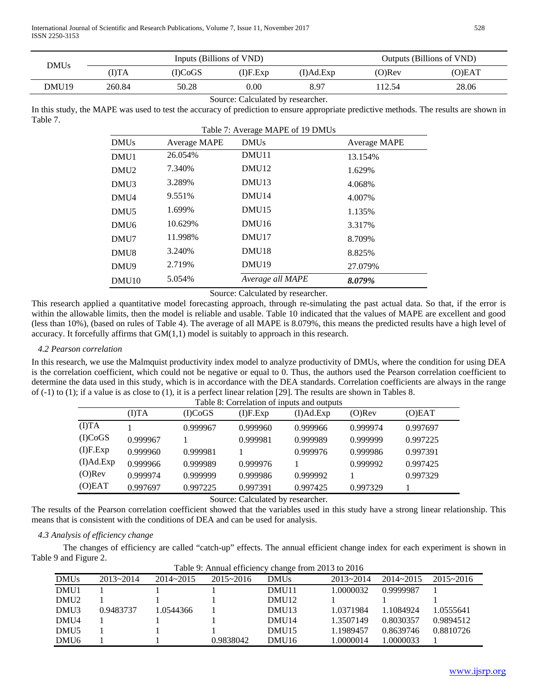| DMUs              |        | Inputs (Billions of VND) | Outputs (Billions of VND) |           |           |        |
|-------------------|--------|--------------------------|---------------------------|-----------|-----------|--------|
|                   | (DTA   | (DCoGS                   | (I)F.Exp                  | (I)Ad.Exp | $(O)$ Rev | (O)EAT |
| DMU <sub>19</sub> | 260.84 | 50.28                    | 0.00                      | 8.97      | 112.54    | 28.06  |
|                   |        |                          |                           |           |           |        |

#### Source: Calculated by researcher.

In this study, the MAPE was used to test the accuracy of prediction to ensure appropriate predictive methods. The results are shown in Table 7.  $T_{\text{max}}$   $T_{\text{max}}$   $T_{\text{max}}$   $T_{\text{max}}$ 

|                   | Table 7: Average MAPE of 19 DMUs |                   |              |  |  |  |  |  |  |
|-------------------|----------------------------------|-------------------|--------------|--|--|--|--|--|--|
| <b>DMUs</b>       | Average MAPE                     | <b>DMUs</b>       | Average MAPE |  |  |  |  |  |  |
| DMU1              | 26.054%                          | DMU11             | 13.154%      |  |  |  |  |  |  |
| DMU <sub>2</sub>  | 7.340%                           | DMU <sub>12</sub> | 1.629%       |  |  |  |  |  |  |
| DMU <sub>3</sub>  | 3.289%                           | DMU <sub>13</sub> | 4.068%       |  |  |  |  |  |  |
| DMU4              | 9.551%                           | DMU <sub>14</sub> | 4.007%       |  |  |  |  |  |  |
| DMU <sub>5</sub>  | 1.699%                           | DMU <sub>15</sub> | 1.135%       |  |  |  |  |  |  |
| DMU <sub>6</sub>  | 10.629%                          | DMU <sub>16</sub> | 3.317%       |  |  |  |  |  |  |
| DMU7              | 11.998%                          | DMU17             | 8.709%       |  |  |  |  |  |  |
| DMU <sub>8</sub>  | 3.240\%                          | DMU <sub>18</sub> | 8.825%       |  |  |  |  |  |  |
| DMU9              | 2.719%                           | DMU <sub>19</sub> | 27.079%      |  |  |  |  |  |  |
| DMU <sub>10</sub> | 5.054%                           | Average all MAPE  | 8.079%       |  |  |  |  |  |  |

Source: Calculated by researcher.

This research applied a quantitative model forecasting approach, through re-simulating the past actual data. So that, if the error is within the allowable limits, then the model is reliable and usable. Table 10 indicated that the values of MAPE are excellent and good (less than 10%), (based on rules of Table 4). The average of all MAPE is 8.079%, this means the predicted results have a high level of accuracy. It forcefully affirms that  $GM(1,1)$  model is suitably to approach in this research.

## *4.2 Pearson correlation*

In this research, we use the Malmquist productivity index model to analyze productivity of DMUs, where the condition for using DEA is the correlation coefficient, which could not be negative or equal to 0. Thus, the authors used the Pearson correlation coefficient to determine the data used in this study, which is in accordance with the DEA standards. Correlation coefficients are always in the range of (-1) to (1); if a value is as close to (1), it is a perfect linear relation [29]. The results are shown in Tables 8.

|             | Table 8: Correlation of inputs and outputs |          |          |           |           |          |  |  |  |
|-------------|--------------------------------------------|----------|----------|-----------|-----------|----------|--|--|--|
|             | (I)TA                                      | (I)CoGS  | (I)F.Exp | (I)Ad.Exp | $(O)$ Rev | (O)EAT   |  |  |  |
| (I)TA       |                                            | 0.999967 | 0.999960 | 0.999966  | 0.999974  | 0.997697 |  |  |  |
| (I)CoGS     | 0.999967                                   |          | 0.999981 | 0.999989  | 0.999999  | 0.997225 |  |  |  |
| $(I)$ F.Exp | 0.999960                                   | 0.999981 |          | 0.999976  | 0.999986  | 0.997391 |  |  |  |
| (I)Ad.Exp   | 0.999966                                   | 0.999989 | 0.999976 |           | 0.999992  | 0.997425 |  |  |  |
| $(O)$ Rev   | 0.999974                                   | 0.999999 | 0.999986 | 0.999992  |           | 0.997329 |  |  |  |
| (O)EAT      | 0.997697                                   | 0.997225 | 0.997391 | 0.997425  | 0.997329  |          |  |  |  |

Source: Calculated by researcher.

The results of the Pearson correlation coefficient showed that the variables used in this study have a strong linear relationship. This means that is consistent with the conditions of DEA and can be used for analysis.

## *4.3 Analysis of efficiency change*

The changes of efficiency are called "catch-up" effects. The annual efficient change index for each experiment is shown in Table 9 and Figure 2.

|                  | Table 9. Allitual efficiency change from 2015 to 2010 |               |               |                   |               |               |               |  |  |
|------------------|-------------------------------------------------------|---------------|---------------|-------------------|---------------|---------------|---------------|--|--|
| <b>DMUs</b>      | $2013 - 2014$                                         | $2014 - 2015$ | $2015 - 2016$ | <b>DMUs</b>       | $2013 - 2014$ | $2014 - 2015$ | $2015 - 2016$ |  |  |
| DMU1             |                                                       |               |               | DMU11             | 1.0000032     | 0.9999987     |               |  |  |
| DMU <sub>2</sub> |                                                       |               |               | DMU <sub>12</sub> |               |               |               |  |  |
| DMU <sub>3</sub> | 0.9483737                                             | 1.0544366     |               | DMU <sub>13</sub> | 1.0371984     | 1.1084924     | 1.0555641     |  |  |
| DMU4             |                                                       |               |               | DMU <sub>14</sub> | 1.3507149     | 0.8030357     | 0.9894512     |  |  |
| DMU <sub>5</sub> |                                                       |               |               | DMU <sub>15</sub> | 1.1989457     | 0.8639746     | 0.8810726     |  |  |
| DMU <sub>6</sub> |                                                       |               | 0.9838042     | DMU <sub>16</sub> | .0000014      | .0000033      |               |  |  |

Table 9: Annual efficiency change from 2013 to 2016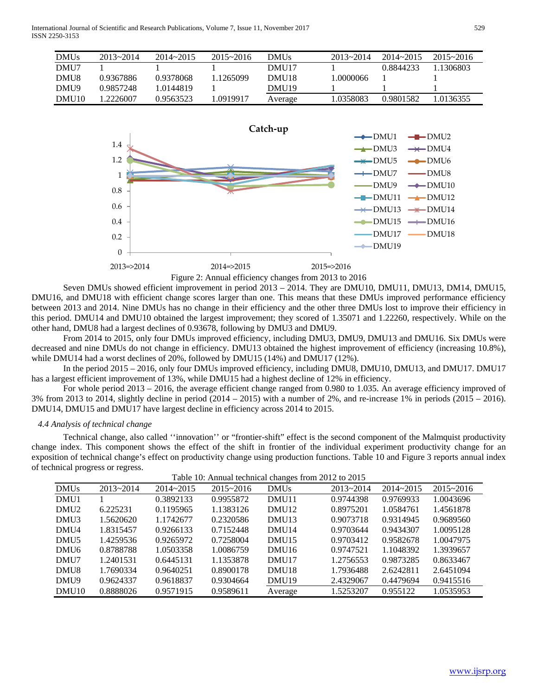International Journal of Scientific and Research Publications, Volume 7, Issue 11, November 2017 529 ISSN 2250-3153

| <b>DMUs</b>       | $2013 - 2014$ | $2014 - 2015$ | $2015 - 2016$ | DMUs.             | $2013 - 2014$ | $2014 - 2015$ | $2015 - 2016$ |
|-------------------|---------------|---------------|---------------|-------------------|---------------|---------------|---------------|
| DMU7              |               |               |               | DMU17             |               | 0.8844233     | .1306803      |
| DMU8              | 0.9367886     | 0.9378068     | .1265099      | DMU <sub>18</sub> | .0000066      |               |               |
| DMU9              | 0.9857248     | 1.0144819     |               | DMU <sub>19</sub> |               |               |               |
| DMU <sub>10</sub> | 1 2226007     | 0.9563523     | .0919917      | Average           | 1.0358083     | 0.9801582     | 0136355       |



Figure 2: Annual efficiency changes from 2013 to 2016

Seven DMUs showed efficient improvement in period  $2013 - 2014$ . They are DMU10, DMU11, DMU13, DM14, DMU15, DMU16, and DMU18 with efficient change scores larger than one. This means that these DMUs improved performance efficiency between 2013 and 2014. Nine DMUs has no change in their efficiency and the other three DMUs lost to improve their efficiency in this period. DMU14 and DMU10 obtained the largest improvement; they scored of 1.35071 and 1.22260, respectively. While on the other hand, DMU8 had a largest declines of 0.93678, following by DMU3 and DMU9.

From 2014 to 2015, only four DMUs improved efficiency, including DMU3, DMU9, DMU13 and DMU16. Six DMUs were decreased and nine DMUs do not change in efficiency. DMU13 obtained the highest improvement of efficiency (increasing 10.8%), while DMU14 had a worst declines of 20%, followed by DMU15 (14%) and DMU17 (12%).

In the period 2015 – 2016, only four DMUs improved efficiency, including DMU8, DMU10, DMU13, and DMU17. DMU17 has a largest efficient improvement of 13%, while DMU15 had a highest decline of 12% in efficiency.

For whole period 2013 – 2016, the average efficient change ranged from 0.980 to 1.035. An average efficiency improved of 3% from 2013 to 2014, slightly decline in period (2014 – 2015) with a number of 2%, and re-increase 1% in periods (2015 – 2016). DMU14, DMU15 and DMU17 have largest decline in efficiency across 2014 to 2015.

#### *4.4 Analysis of technical change*

Technical change, also called ''innovation'' or "frontier-shift" effect is the second component of the Malmquist productivity change index. This component shows the effect of the shift in frontier of the individual experiment productivity change for an exposition of technical change's effect on productivity change using production functions. Table 10 and Figure 3 reports annual index of technical progress or regress.

|       |               |               |               |                   | Table 10: Annual technical changes from 2012 to 2015 |               |               |  |
|-------|---------------|---------------|---------------|-------------------|------------------------------------------------------|---------------|---------------|--|
| DMUs  | $2013 - 2014$ | $2014 - 2015$ | $2015 - 2016$ | <b>DMUs</b>       | $2013 - 2014$                                        | $2014 - 2015$ | $2015 - 2016$ |  |
| DMU1  |               | 0.3892133     | 0.9955872     | DMU <sub>11</sub> | 0.9744398                                            | 0.9769933     | 1.0043696     |  |
| DMU2  | 6.225231      | 0.1195965     | 1.1383126     | DMU <sub>12</sub> | 0.8975201                                            | 1.0584761     | 1.4561878     |  |
| DMU3  | 1.5620620     | 1.1742677     | 0.2320586     | DMU <sub>13</sub> | 0.9073718                                            | 0.9314945     | 0.9689560     |  |
| DMU4  | 1.8315457     | 0.9266133     | 0.7152448     | DMU <sub>14</sub> | 0.9703644                                            | 0.9434307     | 1.0095128     |  |
| DMU5  | 1.4259536     | 0.9265972     | 0.7258004     | DMU <sub>15</sub> | 0.9703412                                            | 0.9582678     | 1.0047975     |  |
| DMU6  | 0.8788788     | 1.0503358     | 1.0086759     | DMU <sub>16</sub> | 0.9747521                                            | 1.1048392     | 1.3939657     |  |
| DMU7  | 1.2401531     | 0.6445131     | 1.1353878     | DMU17             | 1.2756553                                            | 0.9873285     | 0.8633467     |  |
| DMU8  | 1.7690334     | 0.9640251     | 0.8900178     | DMU <sub>18</sub> | 1.7936488                                            | 2.6242811     | 2.6451094     |  |
| DMU9  | 0.9624337     | 0.9618837     | 0.9304664     | DMU <sub>19</sub> | 2.4329067                                            | 0.4479694     | 0.9415516     |  |
| DMU10 | 0.8888026     | 0.9571915     | 0.9589611     | Average           | 1.5253207                                            | 0.955122      | 1.0535953     |  |
|       |               |               |               |                   |                                                      |               |               |  |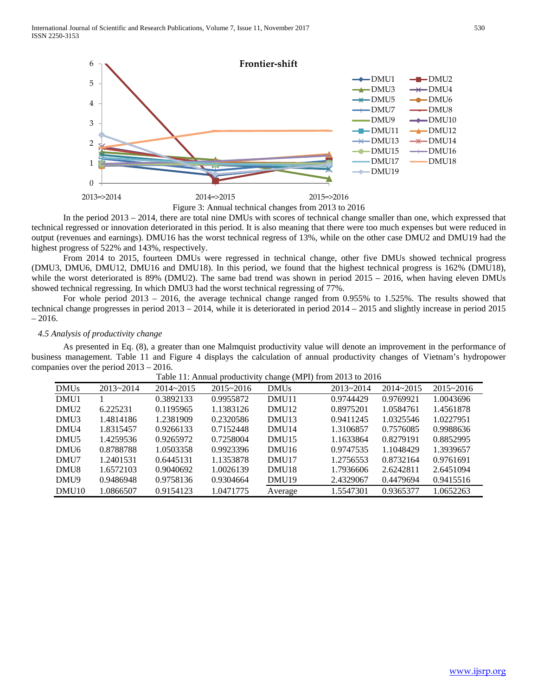

In the period 2013 – 2014, there are total nine DMUs with scores of technical change smaller than one, which expressed that technical regressed or innovation deteriorated in this period. It is also meaning that there were too much expenses but were reduced in output (revenues and earnings). DMU16 has the worst technical regress of 13%, while on the other case DMU2 and DMU19 had the highest progress of 522% and 143%, respectively.

From 2014 to 2015, fourteen DMUs were regressed in technical change, other five DMUs showed technical progress (DMU3, DMU6, DMU12, DMU16 and DMU18). In this period, we found that the highest technical progress is 162% (DMU18), while the worst deteriorated is 89% (DMU2). The same bad trend was shown in period 2015 – 2016, when having eleven DMUs showed technical regressing. In which DMU3 had the worst technical regressing of 77%.

For whole period 2013 – 2016, the average technical change ranged from 0.955% to 1.525%. The results showed that technical change progresses in period 2013 – 2014, while it is deteriorated in period 2014 – 2015 and slightly increase in period 2015 – 2016.

## *4.5 Analysis of productivity change*

As presented in Eq. (8), a greater than one Malmquist productivity value will denote an improvement in the performance of business management. Table 11 and Figure 4 displays the calculation of annual productivity changes of Vietnam's hydropower companies over the period 2013 – 2016.

|       |               |               |               |                   | Tuble 11. Thingui productivity enange (MIT) from 2015 to 2010 |               |               |
|-------|---------------|---------------|---------------|-------------------|---------------------------------------------------------------|---------------|---------------|
| DMUs  | $2013 - 2014$ | $2014 - 2015$ | $2015 - 2016$ | <b>DMUs</b>       | $2013 - 2014$                                                 | $2014 - 2015$ | $2015 - 2016$ |
| DMU1  |               | 0.3892133     | 0.9955872     | DMU <sub>11</sub> | 0.9744429                                                     | 0.9769921     | 1.0043696     |
| DMU2  | 6.225231      | 0.1195965     | 1.1383126     | DMU <sub>12</sub> | 0.8975201                                                     | 1.0584761     | 1.4561878     |
| DMU3  | 1.4814186     | 1.2381909     | 0.2320586     | DMU <sub>13</sub> | 0.9411245                                                     | 1.0325546     | 1.0227951     |
| DMU4  | 1.8315457     | 0.9266133     | 0.7152448     | DMU <sub>14</sub> | 1.3106857                                                     | 0.7576085     | 0.9988636     |
| DMU5  | 1.4259536     | 0.9265972     | 0.7258004     | DMU <sub>15</sub> | 1.1633864                                                     | 0.8279191     | 0.8852995     |
| DMU6  | 0.8788788     | 1.0503358     | 0.9923396     | DMU <sub>16</sub> | 0.9747535                                                     | 1.1048429     | 1.3939657     |
| DMU7  | 1.2401531     | 0.6445131     | 1.1353878     | DMU <sub>17</sub> | 1.2756553                                                     | 0.8732164     | 0.9761691     |
| DMU8  | 1.6572103     | 0.9040692     | 1.0026139     | DMU <sub>18</sub> | 1.7936606                                                     | 2.6242811     | 2.6451094     |
| DMU9  | 0.9486948     | 0.9758136     | 0.9304664     | DMU <sub>19</sub> | 2.4329067                                                     | 0.4479694     | 0.9415516     |
| DMU10 | 1.0866507     | 0.9154123     | 1.0471775     | Average           | 1.5547301                                                     | 0.9365377     | 1.0652263     |

Table 11: Annual productivity change (MPI) from 2013 to 2016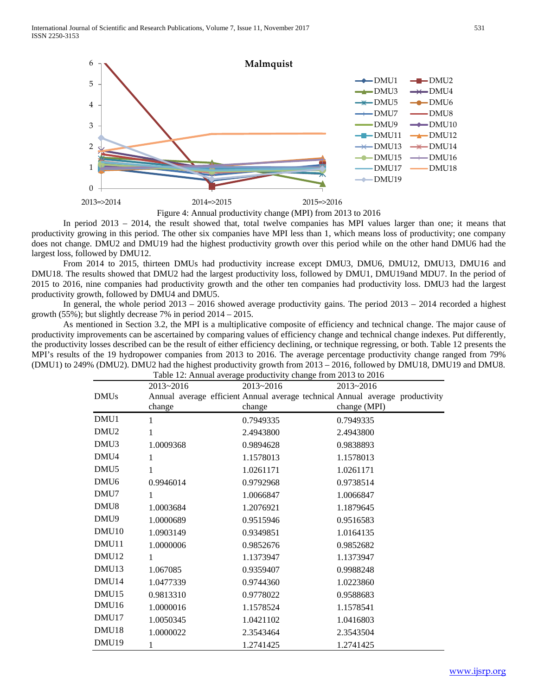

In period 2013 – 2014, the result showed that, total twelve companies has MPI values larger than one; it means that productivity growing in this period. The other six companies have MPI less than 1, which means loss of productivity; one company does not change. DMU2 and DMU19 had the highest productivity growth over this period while on the other hand DMU6 had the largest loss, followed by DMU12.

From 2014 to 2015, thirteen DMUs had productivity increase except DMU3, DMU6, DMU12, DMU13, DMU16 and DMU18. The results showed that DMU2 had the largest productivity loss, followed by DMU1, DMU19and MDU7. In the period of 2015 to 2016, nine companies had productivity growth and the other ten companies had productivity loss. DMU3 had the largest productivity growth, followed by DMU4 and DMU5.

In general, the whole period  $2013 - 2016$  showed average productivity gains. The period  $2013 - 2014$  recorded a highest growth (55%); but slightly decrease 7% in period 2014 – 2015.

As mentioned in Section 3.2, the MPI is a multiplicative composite of efficiency and technical change. The major cause of productivity improvements can be ascertained by comparing values of efficiency change and technical change indexes. Put differently, the productivity losses described can be the result of either efficiency declining, or technique regressing, or both. Table 12 presents the MPI's results of the 19 hydropower companies from 2013 to 2016. The average percentage productivity change ranged from 79% (DMU1) to 249% (DMU2). DMU2 had the highest productivity growth from 2013 – 2016, followed by DMU18, DMU19 and DMU8.

| Table 12: Annual average productivity change from 2013 to 2016 |               |               |                                                                               |  |
|----------------------------------------------------------------|---------------|---------------|-------------------------------------------------------------------------------|--|
|                                                                | $2013 - 2016$ | $2013 - 2016$ | $2013 - 2016$                                                                 |  |
| <b>DMUs</b>                                                    |               |               | Annual average efficient Annual average technical Annual average productivity |  |
|                                                                | change        | change        | change (MPI)                                                                  |  |
| DMU <sub>1</sub>                                               | 1             | 0.7949335     | 0.7949335                                                                     |  |
| DMU <sub>2</sub>                                               | 1             | 2.4943800     | 2.4943800                                                                     |  |
| DMU <sub>3</sub>                                               | 1.0009368     | 0.9894628     | 0.9838893                                                                     |  |
| DMU <sub>4</sub>                                               | 1             | 1.1578013     | 1.1578013                                                                     |  |
| DMU <sub>5</sub>                                               | 1             | 1.0261171     | 1.0261171                                                                     |  |
| DMU <sub>6</sub>                                               | 0.9946014     | 0.9792968     | 0.9738514                                                                     |  |
| DMU7                                                           | 1             | 1.0066847     | 1.0066847                                                                     |  |
| DMU <sub>8</sub>                                               | 1.0003684     | 1.2076921     | 1.1879645                                                                     |  |
| DMU9                                                           | 1.0000689     | 0.9515946     | 0.9516583                                                                     |  |
| DMU <sub>10</sub>                                              | 1.0903149     | 0.9349851     | 1.0164135                                                                     |  |
| DMU11                                                          | 1.0000006     | 0.9852676     | 0.9852682                                                                     |  |
| DMU <sub>12</sub>                                              | 1             | 1.1373947     | 1.1373947                                                                     |  |
| DMU13                                                          | 1.067085      | 0.9359407     | 0.9988248                                                                     |  |
| DMU <sub>14</sub>                                              | 1.0477339     | 0.9744360     | 1.0223860                                                                     |  |
| DMU <sub>15</sub>                                              | 0.9813310     | 0.9778022     | 0.9588683                                                                     |  |
| DMU <sub>16</sub>                                              | 1.0000016     | 1.1578524     | 1.1578541                                                                     |  |
| DMU17                                                          | 1.0050345     | 1.0421102     | 1.0416803                                                                     |  |
| DMU <sub>18</sub>                                              | 1.0000022     | 2.3543464     | 2.3543504                                                                     |  |
| DMU <sub>19</sub>                                              | 1             | 1.2741425     | 1.2741425                                                                     |  |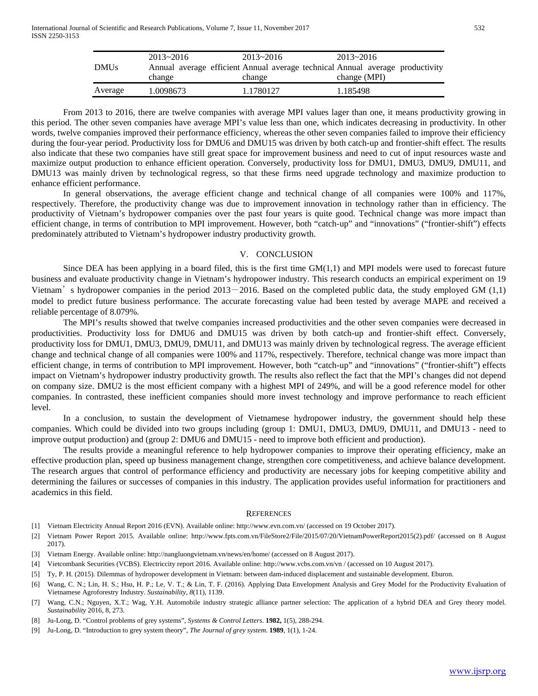| <b>DMUs</b> | $2013 - 2016$ | $2013 - 2016$ | $2013 - 2016$                                                                 |
|-------------|---------------|---------------|-------------------------------------------------------------------------------|
|             |               |               | Annual average efficient Annual average technical Annual average productivity |
|             | change        | change        | change (MPI)                                                                  |
| Average     | 1.0098673     | 1.1780127     | 1.185498                                                                      |

From 2013 to 2016, there are twelve companies with average MPI values lager than one, it means productivity growing in this period. The other seven companies have average MPI's value less than one, which indicates decreasing in productivity. In other words, twelve companies improved their performance efficiency, whereas the other seven companies failed to improve their efficiency during the four-year period. Productivity loss for DMU6 and DMU15 was driven by both catch-up and frontier-shift effect. The results also indicate that these two companies have still great space for improvement business and need to cut of input resources waste and maximize output production to enhance efficient operation. Conversely, productivity loss for DMU1, DMU3, DMU9, DMU11, and DMU13 was mainly driven by technological regress, so that these firms need upgrade technology and maximize production to enhance efficient performance.

In general observations, the average efficient change and technical change of all companies were 100% and 117%, respectively. Therefore, the productivity change was due to improvement innovation in technology rather than in efficiency. The productivity of Vietnam's hydropower companies over the past four years is quite good. Technical change was more impact than efficient change, in terms of contribution to MPI improvement. However, both "catch-up" and "innovations" ("frontier-shift") effects predominately attributed to Vietnam's hydropower industry productivity growth.

#### V. CONCLUSION

Since DEA has been applying in a board filed, this is the first time  $GM(1,1)$  and MPI models were used to forecast future business and evaluate productivity change in Vietnam's hydropower industry. This research conducts an empirical experiment on 19 Vietnam's hydropower companies in the period  $2013-2016$ . Based on the completed public data, the study employed GM  $(1,1)$ model to predict future business performance. The accurate forecasting value had been tested by average MAPE and received a reliable percentage of 8.079%.

The MPI's results showed that twelve companies increased productivities and the other seven companies were decreased in productivities. Productivity loss for DMU6 and DMU15 was driven by both catch-up and frontier-shift effect. Conversely, productivity loss for DMU1, DMU3, DMU9, DMU11, and DMU13 was mainly driven by technological regress. The average efficient change and technical change of all companies were 100% and 117%, respectively. Therefore, technical change was more impact than efficient change, in terms of contribution to MPI improvement. However, both "catch-up" and "innovations" ("frontier-shift") effects impact on Vietnam's hydropower industry productivity growth. The results also reflect the fact that the MPI's changes did not depend on company size. DMU2 is the most efficient company with a highest MPI of 249%, and will be a good reference model for other companies. In contrasted, these inefficient companies should more invest technology and improve performance to reach efficient level.

In a conclusion, to sustain the development of Vietnamese hydropower industry, the government should help these companies. Which could be divided into two groups including (group 1: DMU1, DMU3, DMU9, DMU11, and DMU13 - need to improve output production) and (group 2: DMU6 and DMU15 - need to improve both efficient and production).

The results provide a meaningful reference to help hydropower companies to improve their operating efficiency, make an effective production plan, speed up business management change, strengthen core competitiveness, and achieve balance development. The research argues that control of performance efficiency and productivity are necessary jobs for keeping competitive ability and determining the failures or successes of companies in this industry. The application provides useful information for practitioners and academics in this field.

#### **REFERENCES**

- [1] Vietnam Electricity Annual Report 2016 (EVN). Available online[: http://www.evn.com.vn/](http://www.evn.com.vn/) (accessed on 19 October 2017).
- [2] Vietnam Power Report 2015. Available online: [http://www.fpts.com.vn/FileStore2/File/2015/07/20/VietnamPowerReport2015\(2\).pdf/](http://www.fpts.com.vn/FileStore2/File/2015/07/20/VietnamPowerReport2015(2).pdf) (accessed on 8 August 2017).
- [3] Vietnam Energy. Available online: [http://nangluongvietnam.vn/news/en/home/](http://nangluongvietnam.vn/news/en/home) (accessed on 8 August 2017).
- [4] Vietcombank Securities (VCBS). Electriccity report 2016. Available online: http://www.vcbs.com.vn/vn / (accessed on 10 August 2017).
- [5] Ty, P. H. (2015). Dilemmas of hydropower development in Vietnam: between dam-induced displacement and sustainable development. Eburon.
- [6] Wang, C. N.; Lin, H. S.; Hsu, H. P.; Le, V. T.; & Lin, T. F. (2016). Applying Data Envelopment Analysis and Grey Model for the Productivity Evaluation of Vietnamese Agroforestry Industry. *Sustainability*, *8*(11), 1139.
- [7] Wang, C.N.; Nguyen, X.T.; Wag, Y.H. Automobile industry strategic alliance partner selection: The application of a hybrid DEA and Grey theory model. *Sustainability* 2016, 8, 273.
- [8] Ju-Long, D. "Control problems of grey systems", *Systems & Control Letters*. **1982,** 1(5), 288-294.
- [9] Ju-Long, D. "Introduction to grey system theory", *The Journal of grey system*. **1989**, 1(1), 1-24.